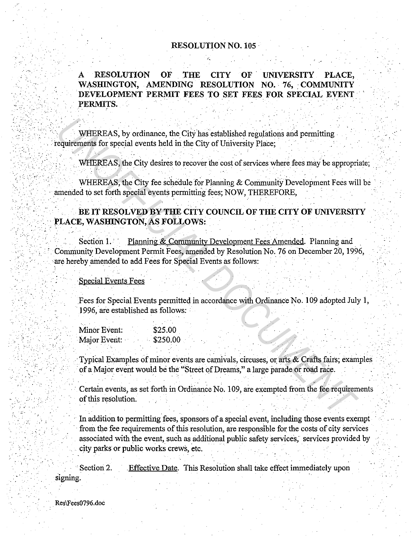## **RESOLUTION NO. 105**

**RESOLUTION** OF **THE CITY** OF UNIVERSITY PLACE. A WASHINGTON, AMENDING RESOLUTION NO. 76, COMMUNITY DEVELOPMENT PERMIT FEES TO SET FEES FOR SPECIAL EVENT PERMITS.

WHEREAS, by ordinance, the City has established regulations and permitting requirements for special events held in the City of University Place;

WHEREAS, the City desires to recover the cost of services where fees may be appropriate;

WHEREAS, the City fee schedule for Planning & Community Development Fees will be amended to set forth special events permitting fees; NOW, THEREFORE,

## BE IT RESOLVED BY THE CITY COUNCIL OF THE CITY OF UNIVERSITY PLACE, WASHINGTON, AS FOLLOWS:

Planning & Community Development Fees Amended. Planning and Section 1. Community Development Permit Fees, amended by Resolution No. 76 on December 20, 1996, are hereby amended to add Fees for Special Events as follows:

Special Events Fees

Fees for Special Events permitted in accordance with Ordinance No. 109 adopted July 1, 1996, are established as follows:

| Minor Event: |  |  | \$25.00  |
|--------------|--|--|----------|
| Major Event: |  |  | \$250.00 |

Typical Examples of minor events are carnivals, circuses, or arts & Crafts fairs; examples of a Major event would be the "Street of Dreams," a large parade or road race.

Certain events, as set forth in Ordinance No. 109, are exempted from the fee requirements of this resolution.

In addition to permitting fees, sponsors of a special event, including those events exempt from the fee requirements of this resolution, are responsible for the costs of city services associated with the event, such as additional public safety services, services provided by city parks or public works crews, etc.

Effective Date. This Resolution shall take effect immediately upon Section 2. signing.

Res\Fees0796.doc